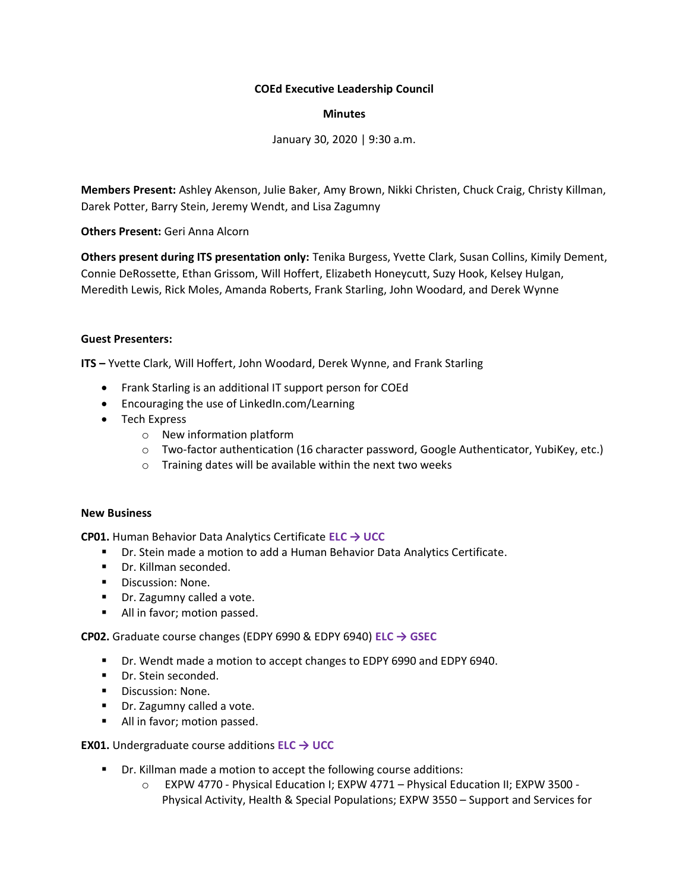## **COEd Executive Leadership Council**

### **Minutes**

January 30, 2020 | 9:30 a.m.

**Members Present:** Ashley Akenson, Julie Baker, Amy Brown, Nikki Christen, Chuck Craig, Christy Killman, Darek Potter, Barry Stein, Jeremy Wendt, and Lisa Zagumny

**Others Present:** Geri Anna Alcorn

**Others present during ITS presentation only:** Tenika Burgess, Yvette Clark, Susan Collins, Kimily Dement, Connie DeRossette, Ethan Grissom, Will Hoffert, Elizabeth Honeycutt, Suzy Hook, Kelsey Hulgan, Meredith Lewis, Rick Moles, Amanda Roberts, Frank Starling, John Woodard, and Derek Wynne

## **Guest Presenters:**

**ITS –** Yvette Clark, Will Hoffert, John Woodard, Derek Wynne, and Frank Starling

- Frank Starling is an additional IT support person for COEd
- Encouraging the use of LinkedIn.com/Learning
- Tech Express
	- o New information platform
	- o Two-factor authentication (16 character password, Google Authenticator, YubiKey, etc.)
	- o Training dates will be available within the next two weeks

#### **New Business**

**CP01.** Human Behavior Data Analytics Certificate **ELC → UCC**

- Dr. Stein made a motion to add a Human Behavior Data Analytics Certificate.
- Dr. Killman seconded.
- Discussion: None.
- Dr. Zagumny called a vote.
- All in favor; motion passed.

**CP02.** Graduate course changes (EDPY 6990 & EDPY 6940) **ELC → GSEC**

- Dr. Wendt made a motion to accept changes to EDPY 6990 and EDPY 6940.
- Dr. Stein seconded.
- Discussion: None.
- Dr. Zagumny called a vote.
- All in favor; motion passed.

# **EX01.** Undergraduate course additions **ELC → UCC**

- Dr. Killman made a motion to accept the following course additions:
	- o EXPW 4770 Physical Education I; EXPW 4771 Physical Education II; EXPW 3500 Physical Activity, Health & Special Populations; EXPW 3550 – Support and Services for